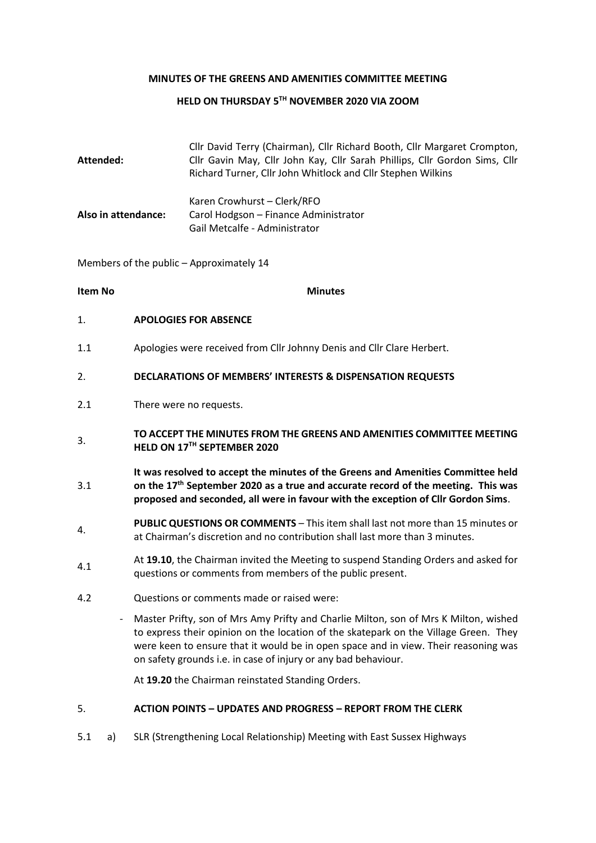#### **MINUTES OF THE GREENS AND AMENITIES COMMITTEE MEETING**

#### **HELD ON THURSDAY 5TH NOVEMBER 2020 VIA ZOOM**

|                     | Cllr David Terry (Chairman), Cllr Richard Booth, Cllr Margaret Crompton,   |
|---------------------|----------------------------------------------------------------------------|
| Attended:           | Cllr Gavin May, Cllr John Kay, Cllr Sarah Phillips, Cllr Gordon Sims, Cllr |
|                     | Richard Turner, Cllr John Whitlock and Cllr Stephen Wilkins                |
|                     | Karen Crowhurst - Clerk/RFO                                                |
| Also in attendance: | Carol Hodgson – Finance Administrator                                      |
|                     | Gail Metcalfe - Administrator                                              |

Members of the public – Approximately 14

**Item No Minutes** 

- 1. **APOLOGIES FOR ABSENCE**
- 1.1 Apologies were received from Cllr Johnny Denis and Cllr Clare Herbert.

#### 2. **DECLARATIONS OF MEMBERS' INTERESTS & DISPENSATION REQUESTS**

- 2.1 There were no requests.
- **TO ACCEPT THE MINUTES FROM THE GREENS AND AMENITIES COMMITTEE MEETING HELD ON 17TH SEPTEMBER 2020**
- 3.1 **It was resolved to accept the minutes of the Greens and Amenities Committee held on the 17th September 2020 as a true and accurate record of the meeting. This was proposed and seconded, all were in favour with the exception of Cllr Gordon Sims**.
- **PUBLIC QUESTIONS OR COMMENTS** This item shall last not more than 15 minutes or at Chairman's discretion and no contribution shall last more than 3 minutes.
- 4.1 At **19.10**, the Chairman invited the Meeting to suspend Standing Orders and asked for questions or comments from members of the public present.
- 4.2 Questions or comments made or raised were:
	- Master Prifty, son of Mrs Amy Prifty and Charlie Milton, son of Mrs K Milton, wished to express their opinion on the location of the skatepark on the Village Green. They were keen to ensure that it would be in open space and in view. Their reasoning was on safety grounds i.e. in case of injury or any bad behaviour.

At **19.20** the Chairman reinstated Standing Orders.

#### 5. **ACTION POINTS – UPDATES AND PROGRESS – REPORT FROM THE CLERK**

5.1 a) SLR (Strengthening Local Relationship) Meeting with East Sussex Highways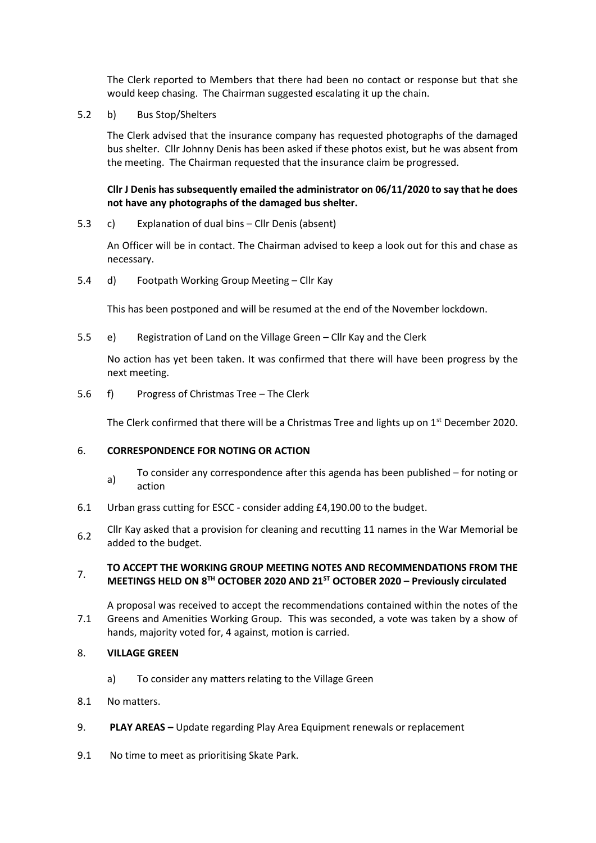The Clerk reported to Members that there had been no contact or response but that she would keep chasing. The Chairman suggested escalating it up the chain.

5.2 b) Bus Stop/Shelters

The Clerk advised that the insurance company has requested photographs of the damaged bus shelter. Cllr Johnny Denis has been asked if these photos exist, but he was absent from the meeting. The Chairman requested that the insurance claim be progressed.

## **Cllr J Denis has subsequently emailed the administrator on 06/11/2020 to say that he does not have any photographs of the damaged bus shelter.**

5.3 c) Explanation of dual bins – Cllr Denis (absent)

An Officer will be in contact. The Chairman advised to keep a look out for this and chase as necessary.

5.4 d) Footpath Working Group Meeting – Cllr Kay

This has been postponed and will be resumed at the end of the November lockdown.

5.5 e) Registration of Land on the Village Green – Cllr Kay and the Clerk

No action has yet been taken. It was confirmed that there will have been progress by the next meeting.

5.6 f) Progress of Christmas Tree – The Clerk

The Clerk confirmed that there will be a Christmas Tree and lights up on 1<sup>st</sup> December 2020.

#### 6. **CORRESPONDENCE FOR NOTING OR ACTION**

- a) To consider any correspondence after this agenda has been published for noting or action
- 6.1 Urban grass cutting for ESCC consider adding £4,190.00 to the budget.
- 6.2 Cllr Kay asked that a provision for cleaning and recutting 11 names in the War Memorial be added to the budget.

### **TO ACCEPT THE WORKING GROUP MEETING NOTES AND RECOMMENDATIONS FROM THE MEETINGS HELD ON 8TH OCTOBER 2020 AND 21ST OCTOBER 2020 – Previously circulated**

7.1 A proposal was received to accept the recommendations contained within the notes of the Greens and Amenities Working Group. This was seconded, a vote was taken by a show of hands, majority voted for, 4 against, motion is carried.

- 8. **VILLAGE GREEN**
	- a) To consider any matters relating to the Village Green
- 8.1 No matters.
- 9. **PLAY AREAS –** Update regarding Play Area Equipment renewals or replacement
- 9.1 No time to meet as prioritising Skate Park.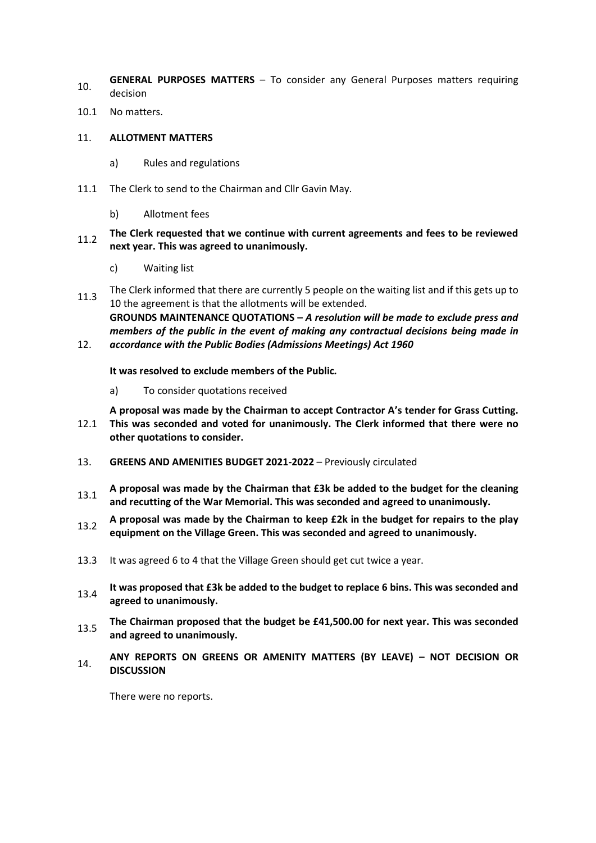- 10. **GENERAL PURPOSES MATTERS** To consider any General Purposes matters requiring decision
- 10.1 No matters.

### 11. **ALLOTMENT MATTERS**

- a) Rules and regulations
- 11.1 The Clerk to send to the Chairman and Cllr Gavin May.
	- b) Allotment fees

## 11.2 **The Clerk requested that we continue with current agreements and fees to be reviewed next year. This was agreed to unanimously.**

- c) Waiting list
- 11.3 The Clerk informed that there are currently 5 people on the waiting list and if this gets up to 10 the agreement is that the allotments will be extended. **GROUNDS MAINTENANCE QUOTATIONS –** *A resolution will be made to exclude press and members of the public in the event of making any contractual decisions being made in*
- 12. *accordance with the Public Bodies (Admissions Meetings) Act 1960*

**It was resolved to exclude members of the Public***.*

a) To consider quotations received

**A proposal was made by the Chairman to accept Contractor A's tender for Grass Cutting.** 

- 12.1 **This was seconded and voted for unanimously. The Clerk informed that there were no other quotations to consider.**
- 13. **GREENS AND AMENITIES BUDGET 2021-2022** Previously circulated
- 13.1 **A proposal was made by the Chairman that £3k be added to the budget for the cleaning and recutting of the War Memorial. This was seconded and agreed to unanimously.**
- 13.2 **A proposal was made by the Chairman to keep £2k in the budget for repairs to the play equipment on the Village Green. This was seconded and agreed to unanimously.**
- 13.3 It was agreed 6 to 4 that the Village Green should get cut twice a year.
- 13.4 It was proposed that £3k be added to the budget to replace 6 bins. This was seconded and **agreed to unanimously.**
- 13.5 **The Chairman proposed that the budget be £41,500.00 for next year. This was seconded and agreed to unanimously.**
- 14. **ANY REPORTS ON GREENS OR AMENITY MATTERS (BY LEAVE) – NOT DECISION OR DISCUSSION**

There were no reports.